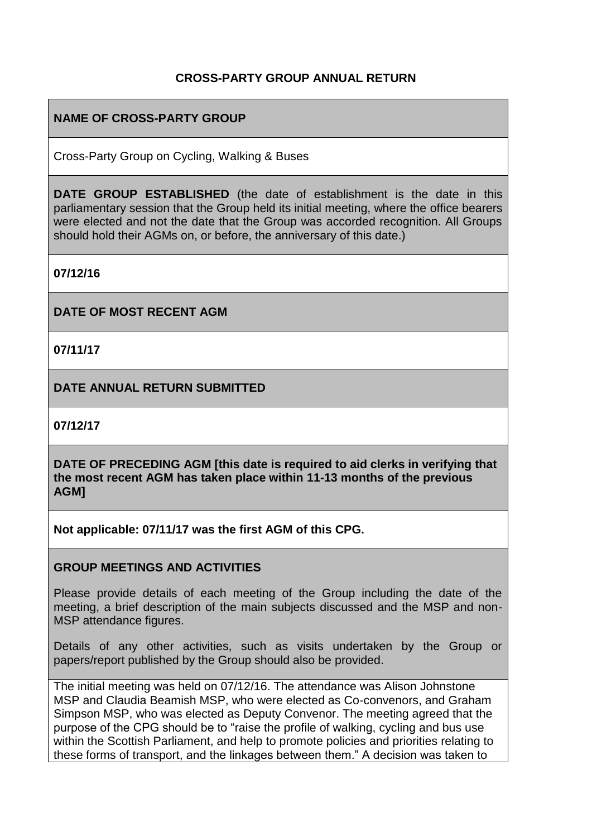## **CROSS-PARTY GROUP ANNUAL RETURN**

#### **NAME OF CROSS-PARTY GROUP**

Cross-Party Group on Cycling, Walking & Buses

**DATE GROUP ESTABLISHED** (the date of establishment is the date in this parliamentary session that the Group held its initial meeting, where the office bearers were elected and not the date that the Group was accorded recognition. All Groups should hold their AGMs on, or before, the anniversary of this date.)

**07/12/16**

**DATE OF MOST RECENT AGM**

**07/11/17**

**DATE ANNUAL RETURN SUBMITTED**

**07/12/17**

**DATE OF PRECEDING AGM [this date is required to aid clerks in verifying that the most recent AGM has taken place within 11-13 months of the previous AGM]**

**Not applicable: 07/11/17 was the first AGM of this CPG.**

#### **GROUP MEETINGS AND ACTIVITIES**

Please provide details of each meeting of the Group including the date of the meeting, a brief description of the main subjects discussed and the MSP and non-MSP attendance figures.

Details of any other activities, such as visits undertaken by the Group or papers/report published by the Group should also be provided.

The initial meeting was held on 07/12/16. The attendance was Alison Johnstone MSP and Claudia Beamish MSP, who were elected as Co-convenors, and Graham Simpson MSP, who was elected as Deputy Convenor. The meeting agreed that the purpose of the CPG should be to "raise the profile of walking, cycling and bus use within the Scottish Parliament, and help to promote policies and priorities relating to these forms of transport, and the linkages between them." A decision was taken to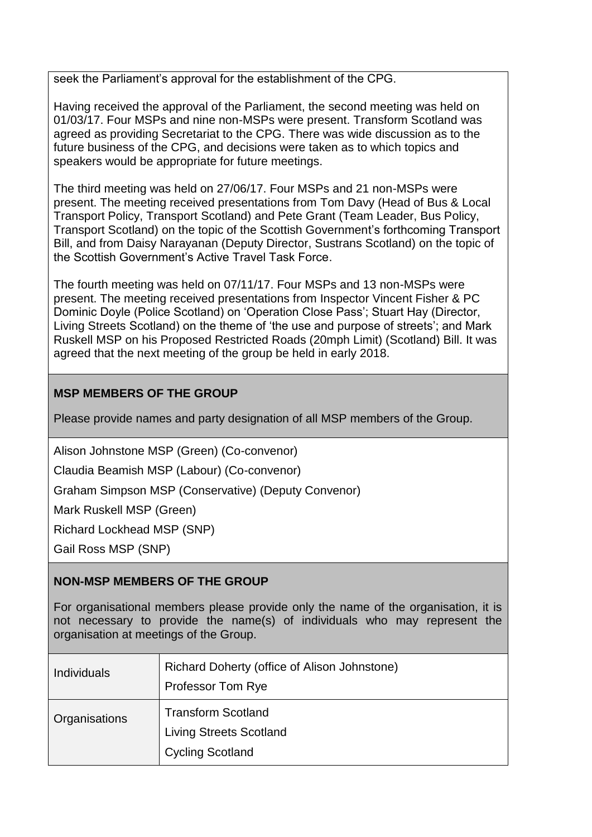seek the Parliament's approval for the establishment of the CPG.

Having received the approval of the Parliament, the second meeting was held on 01/03/17. Four MSPs and nine non-MSPs were present. Transform Scotland was agreed as providing Secretariat to the CPG. There was wide discussion as to the future business of the CPG, and decisions were taken as to which topics and speakers would be appropriate for future meetings.

The third meeting was held on 27/06/17. Four MSPs and 21 non-MSPs were present. The meeting received presentations from Tom Davy (Head of Bus & Local Transport Policy, Transport Scotland) and Pete Grant (Team Leader, Bus Policy, Transport Scotland) on the topic of the Scottish Government's forthcoming Transport Bill, and from Daisy Narayanan (Deputy Director, Sustrans Scotland) on the topic of the Scottish Government's Active Travel Task Force.

The fourth meeting was held on 07/11/17. Four MSPs and 13 non-MSPs were present. The meeting received presentations from Inspector Vincent Fisher & PC Dominic Doyle (Police Scotland) on 'Operation Close Pass'; Stuart Hay (Director, Living Streets Scotland) on the theme of 'the use and purpose of streets'; and Mark Ruskell MSP on his Proposed Restricted Roads (20mph Limit) (Scotland) Bill. It was agreed that the next meeting of the group be held in early 2018.

# **MSP MEMBERS OF THE GROUP**

Please provide names and party designation of all MSP members of the Group.

Alison Johnstone MSP (Green) (Co-convenor)

Claudia Beamish MSP (Labour) (Co-convenor)

Graham Simpson MSP (Conservative) (Deputy Convenor)

Mark Ruskell MSP (Green)

Richard Lockhead MSP (SNP)

Gail Ross MSP (SNP)

## **NON-MSP MEMBERS OF THE GROUP**

For organisational members please provide only the name of the organisation, it is not necessary to provide the name(s) of individuals who may represent the organisation at meetings of the Group.

| <b>Individuals</b> | Richard Doherty (office of Alison Johnstone)<br><b>Professor Tom Rye</b>               |
|--------------------|----------------------------------------------------------------------------------------|
| Organisations      | <b>Transform Scotland</b><br><b>Living Streets Scotland</b><br><b>Cycling Scotland</b> |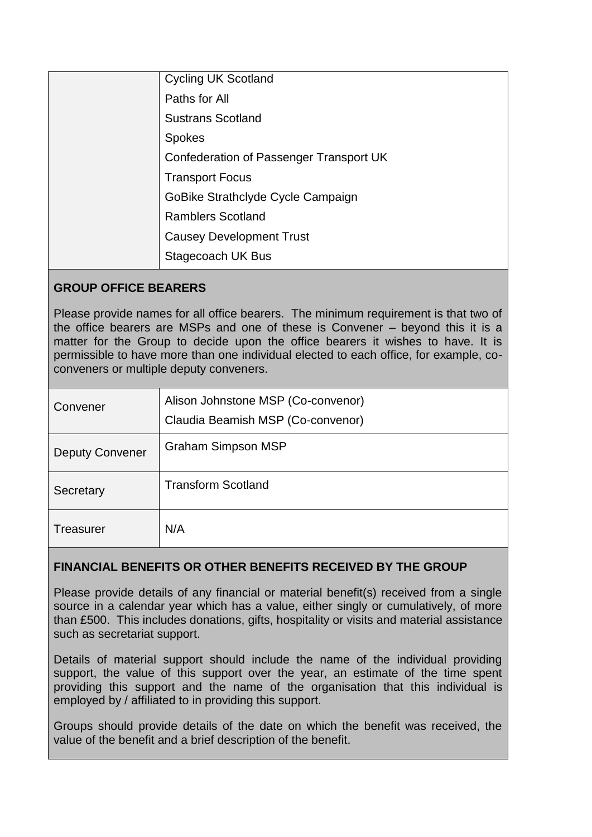| <b>Cycling UK Scotland</b>              |
|-----------------------------------------|
| Paths for All                           |
| <b>Sustrans Scotland</b>                |
| <b>Spokes</b>                           |
| Confederation of Passenger Transport UK |
| <b>Transport Focus</b>                  |
| GoBike Strathclyde Cycle Campaign       |
| <b>Ramblers Scotland</b>                |
| <b>Causey Development Trust</b>         |
| Stagecoach UK Bus                       |

#### **GROUP OFFICE BEARERS**

Please provide names for all office bearers. The minimum requirement is that two of the office bearers are MSPs and one of these is Convener – beyond this it is a matter for the Group to decide upon the office bearers it wishes to have. It is permissible to have more than one individual elected to each office, for example, coconveners or multiple deputy conveners.

| Convener               | Alison Johnstone MSP (Co-convenor)<br>Claudia Beamish MSP (Co-convenor) |
|------------------------|-------------------------------------------------------------------------|
| <b>Deputy Convener</b> | <b>Graham Simpson MSP</b>                                               |
| Secretary              | <b>Transform Scotland</b>                                               |
| <b>Treasurer</b>       | N/A                                                                     |

## **FINANCIAL BENEFITS OR OTHER BENEFITS RECEIVED BY THE GROUP**

Please provide details of any financial or material benefit(s) received from a single source in a calendar year which has a value, either singly or cumulatively, of more than £500. This includes donations, gifts, hospitality or visits and material assistance such as secretariat support.

Details of material support should include the name of the individual providing support, the value of this support over the year, an estimate of the time spent providing this support and the name of the organisation that this individual is employed by / affiliated to in providing this support.

Groups should provide details of the date on which the benefit was received, the value of the benefit and a brief description of the benefit.